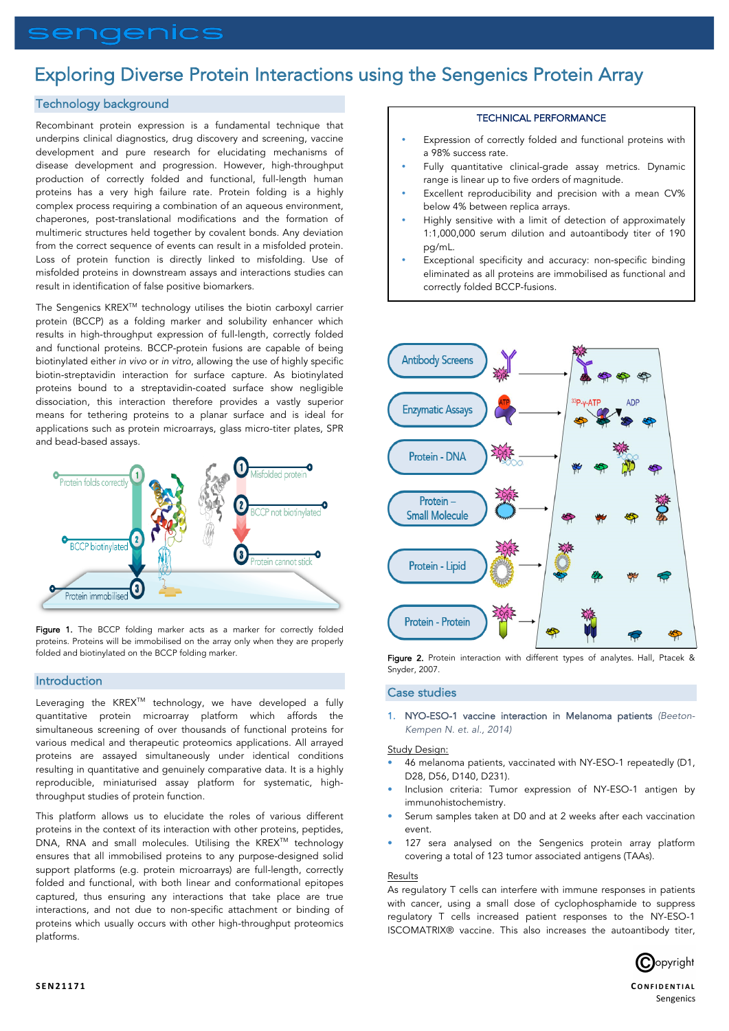# sengenics

# Exploring Diverse Protein Interactions using the Sengenics Protein Array

# Technology background

Recombinant protein expression is a fundamental technique that underpins clinical diagnostics, drug discovery and screening, vaccine development and pure research for elucidating mechanisms of disease development and progression. However, high-throughput production of correctly folded and functional, full-length human proteins has a very high failure rate. Protein folding is a highly complex process requiring a combination of an aqueous environment, chaperones, post-translational modifications and the formation of multimeric structures held together by covalent bonds. Any deviation from the correct sequence of events can result in a misfolded protein. Loss of protein function is directly linked to misfolding. Use of misfolded proteins in downstream assays and interactions studies can result in identification of false positive biomarkers.

The Sengenics KREX<sup>™</sup> technology utilises the biotin carboxyl carrier protein (BCCP) as a folding marker and solubility enhancer which results in high-throughput expression of full-length, correctly folded and functional proteins. BCCP-protein fusions are capable of being biotinylated either *in vivo* or *in vitro*, allowing the use of highly specific biotin-streptavidin interaction for surface capture. As biotinylated proteins bound to a streptavidin-coated surface show negligible dissociation, this interaction therefore provides a vastly superior means for tethering proteins to a planar surface and is ideal for applications such as protein microarrays, glass micro-titer plates, SPR and bead-based assays.



Figure 1. The BCCP folding marker acts as a marker for correctly folded proteins. Proteins will be immobilised on the array only when they are properly folded and biotinylated on the BCCP folding marker.

# Introduction

Leveraging the KREX<sup>™</sup> technology, we have developed a fully quantitative protein microarray platform which affords the simultaneous screening of over thousands of functional proteins for various medical and therapeutic proteomics applications. All arrayed proteins are assayed simultaneously under identical conditions resulting in quantitative and genuinely comparative data. It is a highly reproducible, miniaturised assay platform for systematic, highthroughput studies of protein function.

This platform allows us to elucidate the roles of various different proteins in the context of its interaction with other proteins, peptides, DNA, RNA and small molecules. Utilising the KREX™ technology ensures that all immobilised proteins to any purpose-designed solid support platforms (e.g. protein microarrays) are full-length, correctly folded and functional, with both linear and conformational epitopes captured, thus ensuring any interactions that take place are true interactions, and not due to non-specific attachment or binding of proteins which usually occurs with other high-throughput proteomics platforms.

# TECHNICAL PERFORMANCE

- Expression of correctly folded and functional proteins with a 98% success rate.
- Fully quantitative clinical-grade assay metrics. Dynamic range is linear up to five orders of magnitude.
- Excellent reproducibility and precision with a mean CV% below 4% between replica arrays.
- Highly sensitive with a limit of detection of approximately 1:1,000,000 serum dilution and autoantibody titer of 190 pg/mL.
- Exceptional specificity and accuracy: non-specific binding eliminated as all proteins are immobilised as functional and correctly folded BCCP-fusions.



Figure 2. Protein interaction with different types of analytes. Hall, Ptacek & Snyder, 2007.

# Case studies

1. NYO-ESO-1 vaccine interaction in Melanoma patients *(Beeton-Kempen N. et. al., 2014)* 

# Study Design:

- 46 melanoma patients, vaccinated with NY-ESO-1 repeatedly (D1, D28, D56, D140, D231).
- Inclusion criteria: Tumor expression of NY-ESO-1 antigen by immunohistochemistry.
- Serum samples taken at D0 and at 2 weeks after each vaccination event.
- 127 sera analysed on the Sengenics protein array platform covering a total of 123 tumor associated antigens (TAAs).

#### Results

As regulatory T cells can interfere with immune responses in patients with cancer, using a small dose of cyclophosphamide to suppress regulatory T cells increased patient responses to the NY-ESO-1 ISCOMATRIX® vaccine. This also increases the autoantibody titer,